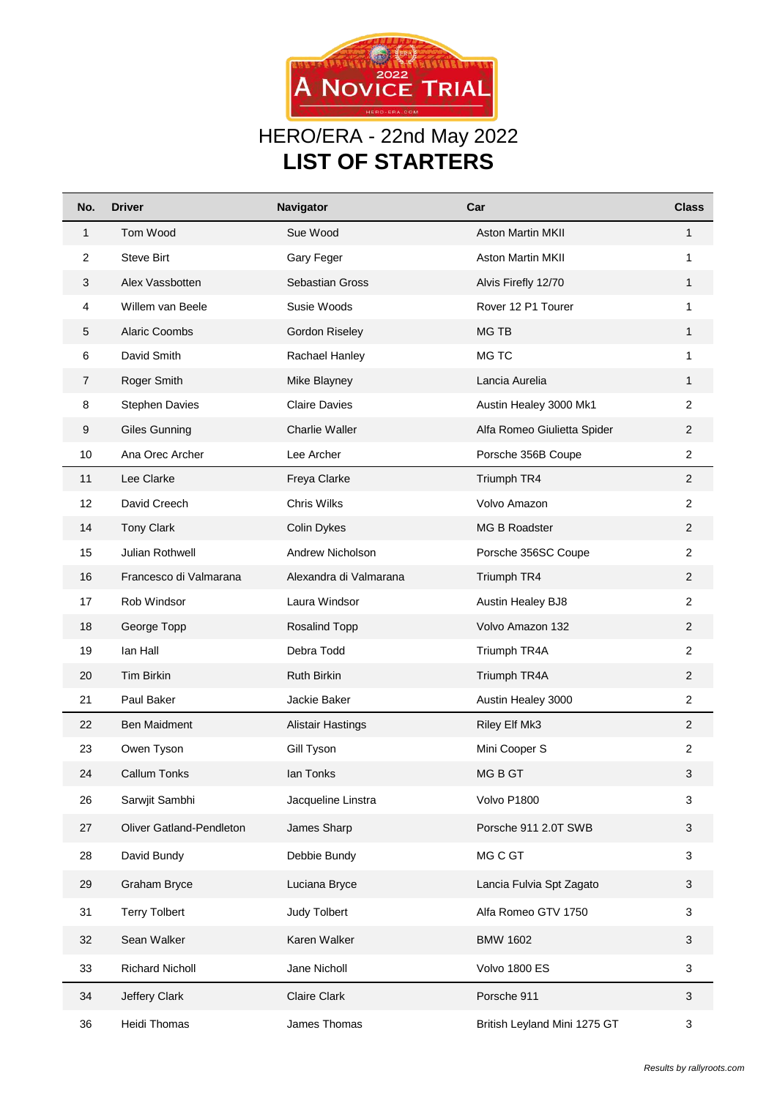

## HERO/ERA - 22nd May 2022 **LIST OF STARTERS**

| No.            | <b>Driver</b>            | Navigator                | Car                          | <b>Class</b>     |
|----------------|--------------------------|--------------------------|------------------------------|------------------|
| $\mathbf{1}$   | Tom Wood                 | Sue Wood                 | <b>Aston Martin MKII</b>     | $\mathbf{1}$     |
| $\overline{c}$ | <b>Steve Birt</b>        | Gary Feger               | <b>Aston Martin MKII</b>     | 1                |
| 3              | Alex Vassbotten          | <b>Sebastian Gross</b>   | Alvis Firefly 12/70          | $\mathbf{1}$     |
| 4              | Willem van Beele         | Susie Woods              | Rover 12 P1 Tourer           | 1                |
| 5              | <b>Alaric Coombs</b>     | Gordon Riseley           | MG TB                        | 1                |
| 6              | David Smith              | Rachael Hanley           | MG TC                        | 1                |
| 7              | Roger Smith              | Mike Blayney             | Lancia Aurelia               | 1                |
| 8              | <b>Stephen Davies</b>    | <b>Claire Davies</b>     | Austin Healey 3000 Mk1       | $\overline{2}$   |
| 9              | <b>Giles Gunning</b>     | <b>Charlie Waller</b>    | Alfa Romeo Giulietta Spider  | $\overline{2}$   |
| 10             | Ana Orec Archer          | Lee Archer               | Porsche 356B Coupe           | $\overline{2}$   |
| 11             | Lee Clarke               | Freya Clarke             | Triumph TR4                  | $\overline{2}$   |
| 12             | David Creech             | Chris Wilks              | Volvo Amazon                 | $\overline{2}$   |
| 14             | <b>Tony Clark</b>        | Colin Dykes              | MG B Roadster                | $\overline{c}$   |
| 15             | Julian Rothwell          | Andrew Nicholson         | Porsche 356SC Coupe          | $\overline{2}$   |
| 16             | Francesco di Valmarana   | Alexandra di Valmarana   | Triumph TR4                  | $\overline{2}$   |
| 17             | Rob Windsor              | Laura Windsor            | Austin Healey BJ8            | 2                |
| 18             | George Topp              | Rosalind Topp            | Volvo Amazon 132             | $\overline{2}$   |
| 19             | lan Hall                 | Debra Todd               | Triumph TR4A                 | $\overline{2}$   |
| 20             | Tim Birkin               | Ruth Birkin              | Triumph TR4A                 | $\overline{2}$   |
| 21             | Paul Baker               | Jackie Baker             | Austin Healey 3000           | $\boldsymbol{2}$ |
| 22             | <b>Ben Maidment</b>      | <b>Alistair Hastings</b> | Riley Elf Mk3                | $\overline{2}$   |
| 23             | Owen Tyson               | Gill Tyson               | Mini Cooper S                | $\overline{2}$   |
| 24             | <b>Callum Tonks</b>      | lan Tonks                | MG B GT                      | 3                |
| 26             | Sarwjit Sambhi           | Jacqueline Linstra       | Volvo P1800                  | 3                |
| 27             | Oliver Gatland-Pendleton | James Sharp              | Porsche 911 2.0T SWB         | 3                |
| 28             | David Bundy              | Debbie Bundy             | MG C GT                      | 3                |
| 29             | Graham Bryce             | Luciana Bryce            | Lancia Fulvia Spt Zagato     | 3                |
| 31             | <b>Terry Tolbert</b>     | <b>Judy Tolbert</b>      | Alfa Romeo GTV 1750          | 3                |
| 32             | Sean Walker              | Karen Walker             | <b>BMW 1602</b>              | 3                |
| 33             | <b>Richard Nicholl</b>   | Jane Nicholl             | Volvo 1800 ES                | 3                |
| 34             | Jeffery Clark            | <b>Claire Clark</b>      | Porsche 911                  | 3                |
| 36             | Heidi Thomas             | James Thomas             | British Leyland Mini 1275 GT | 3                |